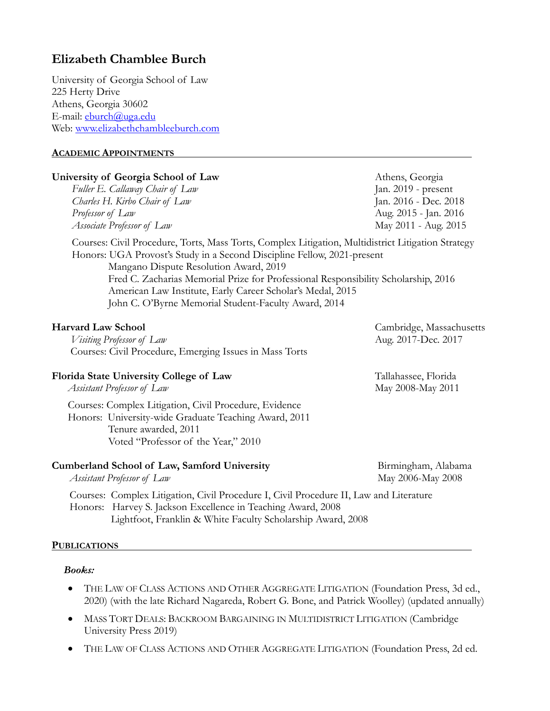## **Elizabeth Chamblee Burch**

University of Georgia School of Law 225 Herty Drive Athens, Georgia 30602 E-mail: eburch@uga.edu Web: www.elizabethchambleeburch.com

## **ACADEMIC APPOINTMENTS**

## **University of Georgia School of Law Athens, Georgia** *Fuller E. Callaway Chair of Law* Jan. 2019 - present *Charles H. Kirbo Chair of Law* Jan. 2016 - Dec. 2018 *Professor of Law* Aug. 2015 - Jan. 2016 *Associate Professor of Law* May 2011 - Aug. 2015 Courses: Civil Procedure, Torts, Mass Torts, Complex Litigation, Multidistrict Litigation Strategy Honors: UGA Provost's Study in a Second Discipline Fellow, 2021-present Mangano Dispute Resolution Award, 2019 Fred C. Zacharias Memorial Prize for Professional Responsibility Scholarship, 2016 American Law Institute, Early Career Scholar's Medal, 2015 John C. O'Byrne Memorial Student-Faculty Award, 2014 **Harvard Law School** Cambridge, Massachusetts *Visiting Professor of Law* Aug. 2017-Dec. 2017 Courses: Civil Procedure, Emerging Issues in Mass Torts **Florida State University College of Law** Tallahassee, Florida *Assistant Professor of Law* May 2008-May 2011 Courses: Complex Litigation, Civil Procedure, Evidence Honors: University-wide Graduate Teaching Award, 2011 Tenure awarded, 2011 Voted "Professor of the Year," 2010 **Cumberland School of Law, Samford University** Birmingham, Alabama *Assistant Professor of Law* 2008 May 2006-May 2008 Courses: Complex Litigation, Civil Procedure I, Civil Procedure II, Law and Literature Honors: Harvey S. Jackson Excellence in Teaching Award, 2008

Lightfoot, Franklin & White Faculty Scholarship Award, 2008

## **PUBLICATIONS**

## *Books:*

- THE LAW OF CLASS ACTIONS AND OTHER AGGREGATE LITIGATION (Foundation Press, 3d ed., 2020) (with the late Richard Nagareda, Robert G. Bone, and Patrick Woolley) (updated annually)
- MASS TORT DEALS: BACKROOM BARGAINING IN MULTIDISTRICT LITIGATION (Cambridge University Press 2019)
- THE LAW OF CLASS ACTIONS AND OTHER AGGREGATE LITIGATION (Foundation Press, 2d ed.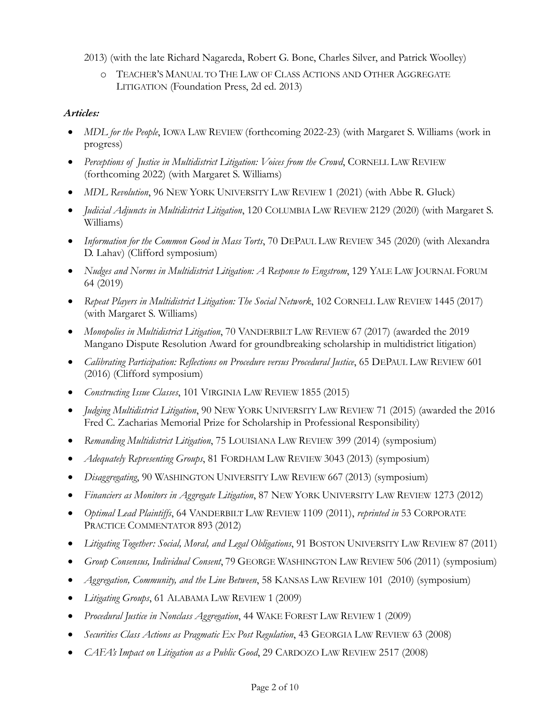2013) (with the late Richard Nagareda, Robert G. Bone, Charles Silver, and Patrick Woolley)

o TEACHER'S MANUAL TO THE LAW OF CLASS ACTIONS AND OTHER AGGREGATE LITIGATION (Foundation Press, 2d ed. 2013)

## *Articles:*

- *MDL for the People*, IOWA LAW REVIEW (forthcoming 2022-23) (with Margaret S. Williams (work in progress)
- *Perceptions of Justice in Multidistrict Litigation: Voices from the Crowd*, CORNELL LAW REVIEW (forthcoming 2022) (with Margaret S. Williams)
- *MDL Revolution*, 96 NEW YORK UNIVERSITY LAW REVIEW 1 (2021) (with Abbe R. Gluck)
- *Judicial Adjuncts in Multidistrict Litigation*, 120 COLUMBIA LAW REVIEW 2129 (2020) (with Margaret S. Williams)
- *Information for the Common Good in Mass Torts*, 70 DEPAUL LAW REVIEW 345 (2020) (with Alexandra D. Lahav) (Clifford symposium)
- *Nudges and Norms in Multidistrict Litigation: A Response to Engstrom*, 129 YALE LAW JOURNAL FORUM 64 (2019)
- *Repeat Players in Multidistrict Litigation: The Social Network*, 102 CORNELL LAW REVIEW 1445 (2017) (with Margaret S. Williams)
- *Monopolies in Multidistrict Litigation*, 70 VANDERBILT LAW REVIEW 67 (2017) (awarded the 2019 Mangano Dispute Resolution Award for groundbreaking scholarship in multidistrict litigation)
- *Calibrating Participation: Reflections on Procedure versus Procedural Justice*, 65 DEPAUL LAW REVIEW 601 (2016) (Clifford symposium)
- *Constructing Issue Classes*, 101 VIRGINIA LAW REVIEW 1855 (2015)
- *Judging Multidistrict Litigation*, 90 NEW YORK UNIVERSITY LAW REVIEW 71 (2015) (awarded the 2016 Fred C. Zacharias Memorial Prize for Scholarship in Professional Responsibility)
- *Remanding Multidistrict Litigation*, 75 LOUISIANA LAW REVIEW 399 (2014) (symposium)
- *Adequately Representing Groups*, 81 FORDHAM LAW REVIEW 3043 (2013) (symposium)
- *Disaggregating*, 90 WASHINGTON UNIVERSITY LAW REVIEW 667 (2013) (symposium)
- *Financiers as Monitors in Aggregate Litigation*, 87 NEW YORK UNIVERSITY LAW REVIEW 1273 (2012)
- *Optimal Lead Plaintiffs*, 64 VANDERBILT LAW REVIEW 1109 (2011), *reprinted in* 53 CORPORATE PRACTICE COMMENTATOR 893 (2012)
- *Litigating Together: Social, Moral, and Legal Obligations*, 91 BOSTON UNIVERSITY LAW REVIEW 87 (2011)
- *Group Consensus, Individual Consent*, 79 GEORGE WASHINGTON LAW REVIEW 506 (2011) (symposium)
- *Aggregation, Community, and the Line Between*, 58 KANSAS LAW REVIEW 101 (2010) (symposium)
- *Litigating Groups*, 61 ALABAMA LAW REVIEW 1 (2009)
- *Procedural Justice in Nonclass Aggregation*, 44 WAKE FOREST LAW REVIEW 1 (2009)
- *Securities Class Actions as Pragmatic Ex Post Regulation*, 43 GEORGIA LAW REVIEW 63 (2008)
- *CAFA's Impact on Litigation as a Public Good*, 29 CARDOZO LAW REVIEW 2517 (2008)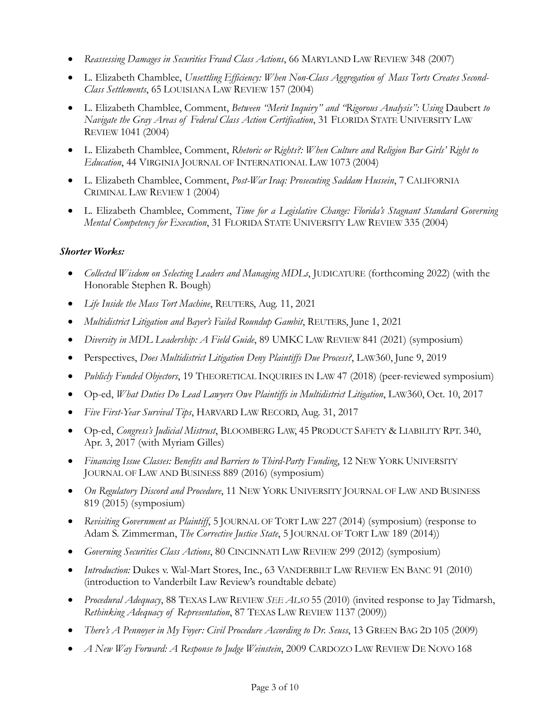- *Reassessing Damages in Securities Fraud Class Actions*, 66 MARYLAND LAW REVIEW 348 (2007)
- L. Elizabeth Chamblee, *Unsettling Efficiency: When Non-Class Aggregation of Mass Torts Creates Second-Class Settlements*, 65 LOUISIANA LAW REVIEW 157 (2004)
- L. Elizabeth Chamblee, Comment, *Between "Merit Inquiry" and "Rigorous Analysis": Using Daubert to Navigate the Gray Areas of Federal Class Action Certification*, 31 FLORIDA STATE UNIVERSITY LAW REVIEW 1041 (2004)
- L. Elizabeth Chamblee, Comment, *Rhetoric or Rights?: When Culture and Religion Bar Girls' Right to Education*, 44 VIRGINIA JOURNAL OF INTERNATIONAL LAW 1073 (2004)
- L. Elizabeth Chamblee, Comment, *Post-War Iraq: Prosecuting Saddam Hussein*, 7 CALIFORNIA CRIMINAL LAW REVIEW 1 (2004)
- L. Elizabeth Chamblee, Comment, *Time for a Legislative Change: Florida's Stagnant Standard Governing Mental Competency for Execution*, 31 FLORIDA STATE UNIVERSITY LAW REVIEW 335 (2004)

## *Shorter Works:*

- *Collected Wisdom on Selecting Leaders and Managing MDLs*, JUDICATURE (forthcoming 2022) (with the Honorable Stephen R. Bough)
- *Life Inside the Mass Tort Machine*, REUTERS, Aug. 11, 2021
- *Multidistrict Litigation and Bayer's Failed Roundup Gambit*, REUTERS, June 1, 2021
- *Diversity in MDL Leadership: A Field Guide*, 89 UMKC LAW REVIEW 841 (2021) (symposium)
- Perspectives, *Does Multidistrict Litigation Deny Plaintiffs Due Process?*, LAW360, June 9, 2019
- *Publicly Funded Objectors*, 19 THEORETICAL INQUIRIES IN LAW 47 (2018) (peer-reviewed symposium)
- Op-ed, *What Duties Do Lead Lawyers Owe Plaintiffs in Multidistrict Litigation*, LAW360, Oct. 10, 2017
- *Five First-Year Survival Tips*, HARVARD LAW RECORD, Aug. 31, 2017
- Op-ed, *Congress's Judicial Mistrust*, BLOOMBERG LAW, 45 PRODUCT SAFETY & LIABILITY RPT. 340, Apr. 3, 2017 (with Myriam Gilles)
- *Financing Issue Classes: Benefits and Barriers to Third-Party Funding*, 12 NEW YORK UNIVERSITY JOURNAL OF LAW AND BUSINESS 889 (2016) (symposium)
- *On Regulatory Discord and Procedure*, 11 NEW YORK UNIVERSITY JOURNAL OF LAW AND BUSINESS 819 (2015) (symposium)
- *Revisiting Government as Plaintiff*, 5 JOURNAL OF TORT LAW 227 (2014) (symposium) (response to Adam S. Zimmerman, *The Corrective Justice State*, 5 JOURNAL OF TORT LAW 189 (2014))
- *Governing Securities Class Actions*, 80 CINCINNATI LAW REVIEW 299 (2012) (symposium)
- *Introduction:* Dukes v. Wal-Mart Stores, Inc., 63 VANDERBILT LAW REVIEW EN BANC 91 (2010) (introduction to Vanderbilt Law Review's roundtable debate)
- *Procedural Adequacy*, 88 TEXAS LAW REVIEW *SEE ALSO* 55 (2010) (invited response to Jay Tidmarsh, *Rethinking Adequacy of Representation*, 87 TEXAS LAW REVIEW 1137 (2009))
- *There's A Pennoyer in My Foyer: Civil Procedure According to Dr. Seuss*, 13 GREEN BAG 2D 105 (2009)
- *A New Way Forward: A Response to Judge Weinstein*, 2009 CARDOZO LAW REVIEW DE NOVO 168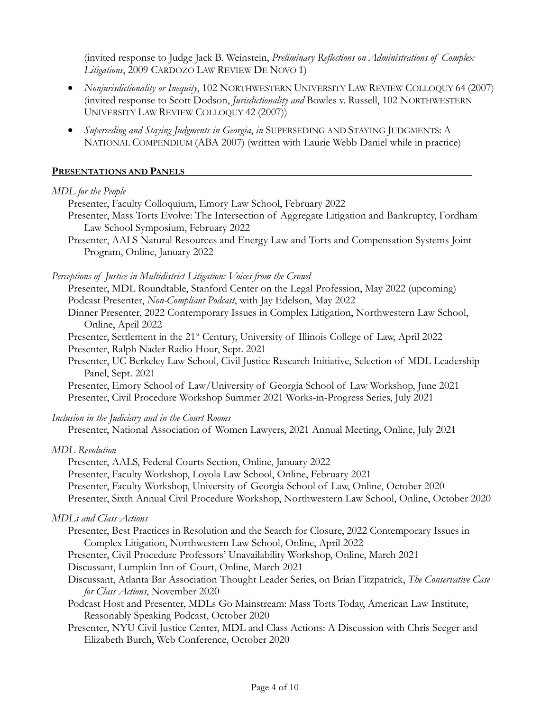(invited response to Judge Jack B. Weinstein, *Preliminary Reflections on Administrations of Complex Litigations*, 2009 CARDOZO LAW REVIEW DE NOVO 1)

- *Nonjurisdictionality or Inequity*, 102 NORTHWESTERN UNIVERSITY LAW REVIEW COLLOQUY 64 (2007) (invited response to Scott Dodson, *Jurisdictionality and* Bowles v. Russell, 102 NORTHWESTERN UNIVERSITY LAW REVIEW COLLOQUY 42 (2007))
- *Superseding and Staying Judgments in Georgia*, *in* SUPERSEDING AND STAYING JUDGMENTS: A NATIONAL COMPENDIUM (ABA 2007) (written with Laurie Webb Daniel while in practice)

### **PRESENTATIONS AND PANELS**

#### *MDL for the People*

Presenter, Faculty Colloquium, Emory Law School, February 2022

- Presenter, Mass Torts Evolve: The Intersection of Aggregate Litigation and Bankruptcy, Fordham Law School Symposium, February 2022
- Presenter, AALS Natural Resources and Energy Law and Torts and Compensation Systems Joint Program, Online, January 2022

*Perceptions of Justice in Multidistrict Litigation: Voices from the Crowd*

Presenter, MDL Roundtable, Stanford Center on the Legal Profession, May 2022 (upcoming) Podcast Presenter, *Non-Compliant Podcast*, with Jay Edelson, May 2022

Dinner Presenter, 2022 Contemporary Issues in Complex Litigation, Northwestern Law School, Online, April 2022

Presenter, Settlement in the 21<sup>st</sup> Century, University of Illinois College of Law, April 2022 Presenter, Ralph Nader Radio Hour, Sept. 2021

Presenter, UC Berkeley Law School, Civil Justice Research Initiative, Selection of MDL Leadership Panel, Sept. 2021

Presenter, Emory School of Law/University of Georgia School of Law Workshop, June 2021 Presenter, Civil Procedure Workshop Summer 2021 Works-in-Progress Series, July 2021

*Inclusion in the Judiciary and in the Court Rooms*

Presenter, National Association of Women Lawyers, 2021 Annual Meeting, Online, July 2021

## *MDL Revolution*

Presenter, AALS, Federal Courts Section, Online, January 2022

Presenter, Faculty Workshop, Loyola Law School, Online, February 2021

Presenter, Faculty Workshop, University of Georgia School of Law, Online, October 2020

Presenter, Sixth Annual Civil Procedure Workshop, Northwestern Law School, Online, October 2020

## *MDLs and Class Actions*

Presenter, Best Practices in Resolution and the Search for Closure, 2022 Contemporary Issues in Complex Litigation, Northwestern Law School, Online, April 2022

Presenter, Civil Procedure Professors' Unavailability Workshop, Online, March 2021

Discussant, Lumpkin Inn of Court, Online, March 2021

- Discussant, Atlanta Bar Association Thought Leader Series, on Brian Fitzpatrick, *The Conservative Case for Class Actions*, November 2020
- Podcast Host and Presenter, MDLs Go Mainstream: Mass Torts Today, American Law Institute, Reasonably Speaking Podcast, October 2020
- Presenter, NYU Civil Justice Center, MDL and Class Actions: A Discussion with Chris Seeger and Elizabeth Burch, Web Conference, October 2020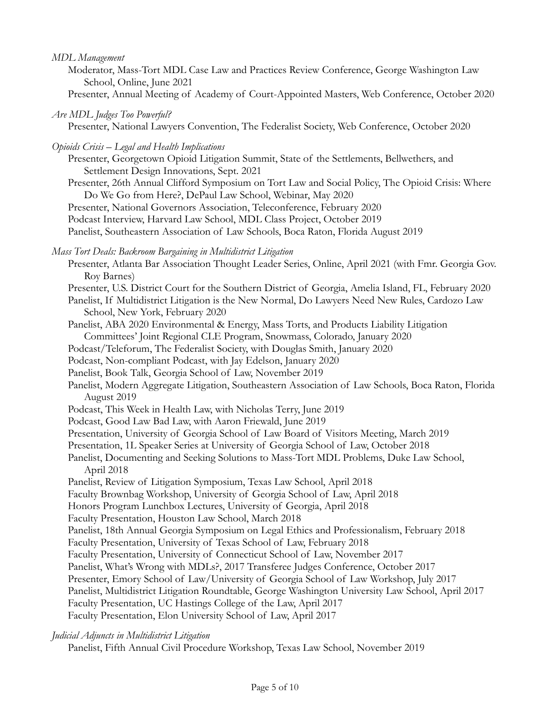## *MDL Management*

- Moderator, Mass-Tort MDL Case Law and Practices Review Conference, George Washington Law School, Online, June 2021
- Presenter, Annual Meeting of Academy of Court-Appointed Masters, Web Conference, October 2020
- *Are MDL Judges Too Powerful?*

Presenter, National Lawyers Convention, The Federalist Society, Web Conference, October 2020

- *Opioids Crisis – Legal and Health Implications*
	- Presenter, Georgetown Opioid Litigation Summit, State of the Settlements, Bellwethers, and Settlement Design Innovations, Sept. 2021
	- Presenter, 26th Annual Clifford Symposium on Tort Law and Social Policy, The Opioid Crisis: Where Do We Go from Here?, DePaul Law School, Webinar, May 2020

Presenter, National Governors Association, Teleconference, February 2020

Podcast Interview, Harvard Law School, MDL Class Project, October 2019

Panelist, Southeastern Association of Law Schools, Boca Raton, Florida August 2019

## *Mass Tort Deals: Backroom Bargaining in Multidistrict Litigation*

- Presenter, Atlanta Bar Association Thought Leader Series, Online, April 2021 (with Fmr. Georgia Gov. Roy Barnes)
- Presenter, U.S. District Court for the Southern District of Georgia, Amelia Island, FL, February 2020

Panelist, If Multidistrict Litigation is the New Normal, Do Lawyers Need New Rules, Cardozo Law School, New York, February 2020

- Panelist, ABA 2020 Environmental & Energy, Mass Torts, and Products Liability Litigation Committees' Joint Regional CLE Program, Snowmass, Colorado, January 2020
- Podcast/Teleforum, The Federalist Society, with Douglas Smith, January 2020
- Podcast, Non-compliant Podcast, with Jay Edelson, January 2020
- Panelist, Book Talk, Georgia School of Law, November 2019
- Panelist, Modern Aggregate Litigation, Southeastern Association of Law Schools, Boca Raton, Florida August 2019
- Podcast, This Week in Health Law, with Nicholas Terry, June 2019
- Podcast, Good Law Bad Law, with Aaron Friewald, June 2019
- Presentation, University of Georgia School of Law Board of Visitors Meeting, March 2019
- Presentation, 1L Speaker Series at University of Georgia School of Law, October 2018
- Panelist, Documenting and Seeking Solutions to Mass-Tort MDL Problems, Duke Law School, April 2018

Panelist, Review of Litigation Symposium, Texas Law School, April 2018

Faculty Brownbag Workshop, University of Georgia School of Law, April 2018

Honors Program Lunchbox Lectures, University of Georgia, April 2018

Faculty Presentation, Houston Law School, March 2018

Panelist, 18th Annual Georgia Symposium on Legal Ethics and Professionalism, February 2018

Faculty Presentation, University of Texas School of Law, February 2018

Faculty Presentation, University of Connecticut School of Law, November 2017

Panelist, What's Wrong with MDLs?, 2017 Transferee Judges Conference, October 2017

Presenter, Emory School of Law/University of Georgia School of Law Workshop, July 2017

Panelist, Multidistrict Litigation Roundtable, George Washington University Law School, April 2017

Faculty Presentation, UC Hastings College of the Law, April 2017

Faculty Presentation, Elon University School of Law, April 2017

## *Judicial Adjuncts in Multidistrict Litigation*

Panelist, Fifth Annual Civil Procedure Workshop, Texas Law School, November 2019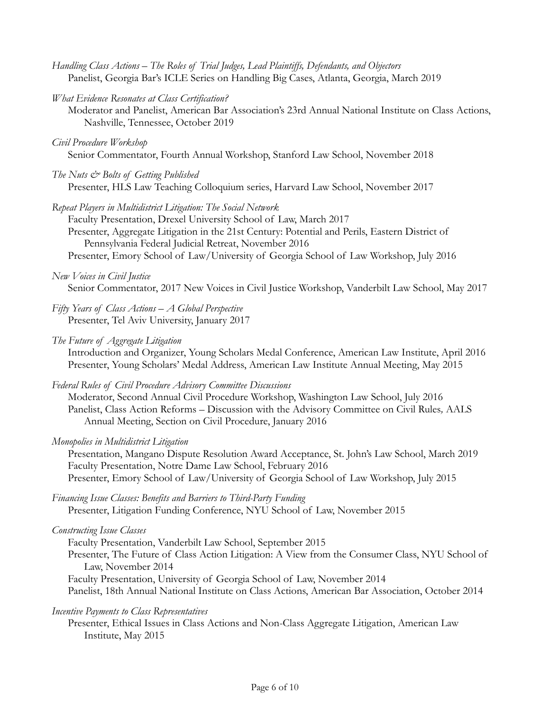- *Handling Class Actions – The Roles of Trial Judges, Lead Plaintiffs, Defendants, and Objectors* Panelist, Georgia Bar's ICLE Series on Handling Big Cases, Atlanta, Georgia, March 2019
- *What Evidence Resonates at Class Certification?*
	- Moderator and Panelist, American Bar Association's 23rd Annual National Institute on Class Actions, Nashville, Tennessee, October 2019

#### *Civil Procedure Workshop*

Senior Commentator, Fourth Annual Workshop, Stanford Law School, November 2018

*The Nuts & Bolts of Getting Published* 

Presenter, HLS Law Teaching Colloquium series, Harvard Law School, November 2017

*Repeat Players in Multidistrict Litigation: The Social Network*

Faculty Presentation, Drexel University School of Law, March 2017 Presenter, Aggregate Litigation in the 21st Century: Potential and Perils, Eastern District of Pennsylvania Federal Judicial Retreat, November 2016

Presenter, Emory School of Law/University of Georgia School of Law Workshop, July 2016

## *New Voices in Civil Justice*

Senior Commentator, 2017 New Voices in Civil Justice Workshop, Vanderbilt Law School, May 2017

- *Fifty Years of Class Actions – A Global Perspective* Presenter, Tel Aviv University, January 2017
- *The Future of Aggregate Litigation*

Introduction and Organizer, Young Scholars Medal Conference, American Law Institute, April 2016 Presenter, Young Scholars' Medal Address, American Law Institute Annual Meeting, May 2015

*Federal Rules of Civil Procedure Advisory Committee Discussions*

Moderator, Second Annual Civil Procedure Workshop, Washington Law School, July 2016 Panelist, Class Action Reforms – Discussion with the Advisory Committee on Civil Rules*,* AALS Annual Meeting, Section on Civil Procedure, January 2016

*Monopolies in Multidistrict Litigation*

Presentation, Mangano Dispute Resolution Award Acceptance, St. John's Law School, March 2019 Faculty Presentation, Notre Dame Law School, February 2016 Presenter, Emory School of Law/University of Georgia School of Law Workshop, July 2015

*Financing Issue Classes: Benefits and Barriers to Third-Party Funding* Presenter, Litigation Funding Conference, NYU School of Law, November 2015

## *Constructing Issue Classes*

Faculty Presentation, Vanderbilt Law School, September 2015 Presenter, The Future of Class Action Litigation: A View from the Consumer Class, NYU School of Law, November 2014 Faculty Presentation, University of Georgia School of Law, November 2014 Panelist, 18th Annual National Institute on Class Actions, American Bar Association, October 2014

*Incentive Payments to Class Representatives*

Presenter, Ethical Issues in Class Actions and Non-Class Aggregate Litigation, American Law Institute, May 2015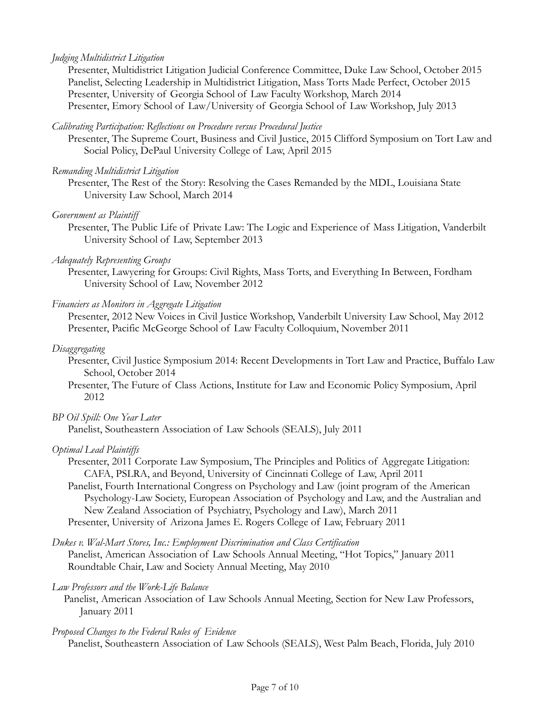## *Judging Multidistrict Litigation*

Presenter, Multidistrict Litigation Judicial Conference Committee, Duke Law School, October 2015 Panelist, Selecting Leadership in Multidistrict Litigation, Mass Torts Made Perfect, October 2015 Presenter, University of Georgia School of Law Faculty Workshop, March 2014 Presenter, Emory School of Law/University of Georgia School of Law Workshop, July 2013

## *Calibrating Participation: Reflections on Procedure versus Procedural Justice*

Presenter, The Supreme Court, Business and Civil Justice, 2015 Clifford Symposium on Tort Law and Social Policy, DePaul University College of Law, April 2015

## *Remanding Multidistrict Litigation*

Presenter, The Rest of the Story: Resolving the Cases Remanded by the MDL, Louisiana State University Law School, March 2014

## *Government as Plaintiff*

Presenter, The Public Life of Private Law: The Logic and Experience of Mass Litigation, Vanderbilt University School of Law, September 2013

## *Adequately Representing Groups*

Presenter, Lawyering for Groups: Civil Rights, Mass Torts, and Everything In Between, Fordham University School of Law, November 2012

## *Financiers as Monitors in Aggregate Litigation*

Presenter, 2012 New Voices in Civil Justice Workshop, Vanderbilt University Law School, May 2012 Presenter, Pacific McGeorge School of Law Faculty Colloquium, November 2011

## *Disaggregating*

Presenter, Civil Justice Symposium 2014: Recent Developments in Tort Law and Practice, Buffalo Law School, October 2014

Presenter, The Future of Class Actions, Institute for Law and Economic Policy Symposium, April 2012

## *BP Oil Spill: One Year Later*

Panelist, Southeastern Association of Law Schools (SEALS), July 2011

## *Optimal Lead Plaintiffs*

Presenter, 2011 Corporate Law Symposium, The Principles and Politics of Aggregate Litigation: CAFA, PSLRA, and Beyond, University of Cincinnati College of Law, April 2011

Panelist, Fourth International Congress on Psychology and Law (joint program of the American Psychology-Law Society, European Association of Psychology and Law, and the Australian and New Zealand Association of Psychiatry, Psychology and Law), March 2011 Presenter, University of Arizona James E. Rogers College of Law, February 2011

*Dukes v. Wal-Mart Stores, Inc.: Employment Discrimination and Class Certification* Panelist, American Association of Law Schools Annual Meeting, "Hot Topics," January 2011 Roundtable Chair, Law and Society Annual Meeting, May 2010

## *Law Professors and the Work-Life Balance*

Panelist, American Association of Law Schools Annual Meeting, Section for New Law Professors, January 2011

## *Proposed Changes to the Federal Rules of Evidence*

Panelist, Southeastern Association of Law Schools (SEALS), West Palm Beach, Florida, July 2010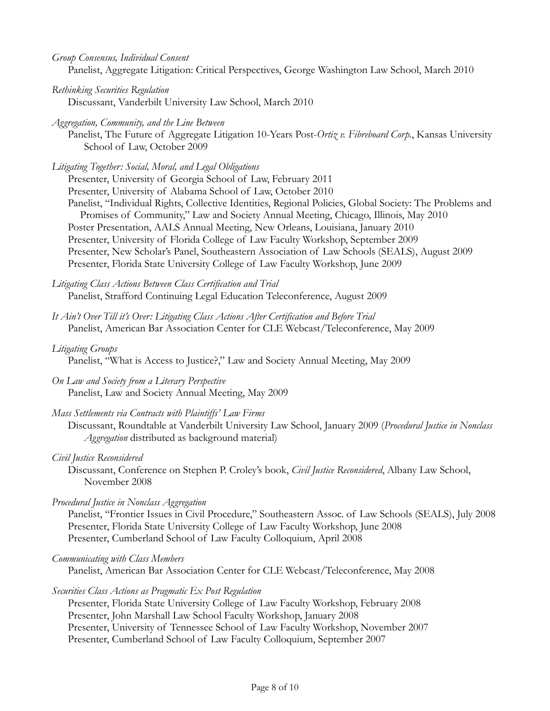*Group Consensus, Individual Consent*  Panelist, Aggregate Litigation: Critical Perspectives, George Washington Law School, March 2010

- *Rethinking Securities Regulation* Discussant, Vanderbilt University Law School, March 2010
- *Aggregation, Community, and the Line Between*

Panelist, The Future of Aggregate Litigation 10-Years Post-*Ortiz v. Fibreboard Corp.*, Kansas University School of Law, October 2009

*Litigating Together: Social, Moral, and Legal Obligations*

Presenter, University of Georgia School of Law, February 2011 Presenter, University of Alabama School of Law, October 2010 Panelist, "Individual Rights, Collective Identities, Regional Policies, Global Society: The Problems and Promises of Community," Law and Society Annual Meeting, Chicago, Illinois, May 2010 Poster Presentation, AALS Annual Meeting, New Orleans, Louisiana, January 2010 Presenter, University of Florida College of Law Faculty Workshop, September 2009 Presenter, New Scholar's Panel, Southeastern Association of Law Schools (SEALS), August 2009 Presenter, Florida State University College of Law Faculty Workshop, June 2009

*Litigating Class Actions Between Class Certification and Trial* Panelist, Strafford Continuing Legal Education Teleconference, August 2009

*It Ain't Over Till it's Over: Litigating Class Actions After Certification and Before Trial*  Panelist, American Bar Association Center for CLE Webcast/Teleconference, May 2009

## *Litigating Groups*

Panelist, "What is Access to Justice?," Law and Society Annual Meeting, May 2009

*On Law and Society from a Literary Perspective* Panelist, Law and Society Annual Meeting, May 2009

## *Mass Settlements via Contracts with Plaintiffs' Law Firms*

Discussant, Roundtable at Vanderbilt University Law School, January 2009 (*Procedural Justice in Nonclass Aggregation* distributed as background material)

## *Civil Justice Reconsidered*

Discussant, Conference on Stephen P. Croley's book, *Civil Justice Reconsidered*, Albany Law School, November 2008

## *Procedural Justice in Nonclass Aggregation*

Panelist, "Frontier Issues in Civil Procedure," Southeastern Assoc. of Law Schools (SEALS), July 2008 Presenter, Florida State University College of Law Faculty Workshop, June 2008 Presenter, Cumberland School of Law Faculty Colloquium, April 2008

```
Communicating with Class Members
```
Panelist, American Bar Association Center for CLE Webcast/Teleconference, May 2008

## *Securities Class Actions as Pragmatic Ex Post Regulation*

Presenter, Florida State University College of Law Faculty Workshop, February 2008 Presenter, John Marshall Law School Faculty Workshop, January 2008 Presenter, University of Tennessee School of Law Faculty Workshop, November 2007 Presenter, Cumberland School of Law Faculty Colloquium, September 2007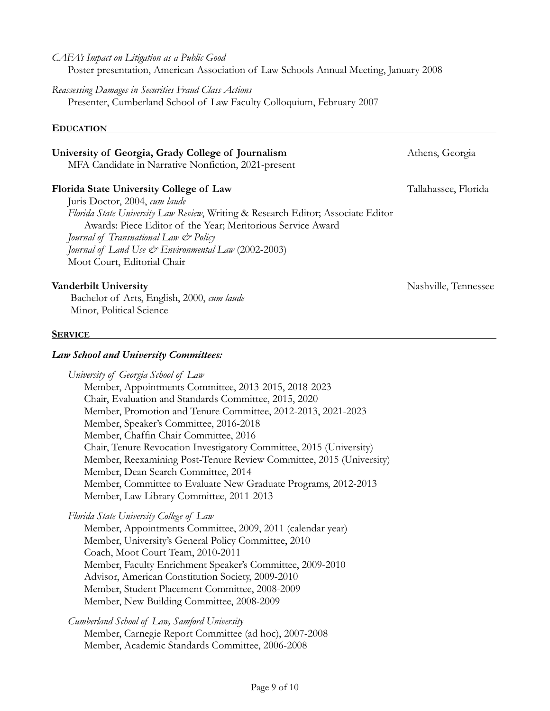### *CAFA's Impact on Litigation as a Public Good* Poster presentation, American Association of Law Schools Annual Meeting, January 2008

# *Reassessing Damages in Securities Fraud Class Actions*

Presenter, Cumberland School of Law Faculty Colloquium, February 2007

## **EDUCATION**

## **University of Georgia, Grady College of Journalism** Athens, Georgia

MFA Candidate in Narrative Nonfiction, 2021-present

## **Florida State University College of Law** Tallahassee, Florida Tallahassee, Florida

Juris Doctor, 2004, *cum laude Florida State University Law Review*, Writing & Research Editor; Associate Editor Awards: Piece Editor of the Year; Meritorious Service Award *Journal of Transnational Law & Policy Journal of Land Use & Environmental Law* (2002-2003) Moot Court, Editorial Chair

## **Vanderbilt University Nashville, Tennessee**

Bachelor of Arts, English, 2000, *cum laude* Minor, Political Science

## **SERVICE**

## *Law School and University Committees:*

*University of Georgia School of Law* Member, Appointments Committee, 2013-2015, 2018-2023 Chair, Evaluation and Standards Committee, 2015, 2020 Member, Promotion and Tenure Committee, 2012-2013, 2021-2023 Member, Speaker's Committee, 2016-2018 Member, Chaffin Chair Committee, 2016 Chair, Tenure Revocation Investigatory Committee, 2015 (University) Member, Reexamining Post-Tenure Review Committee, 2015 (University) Member, Dean Search Committee, 2014 Member, Committee to Evaluate New Graduate Programs, 2012-2013 Member, Law Library Committee, 2011-2013

*Florida State University College of Law*

Member, Appointments Committee, 2009, 2011 (calendar year) Member, University's General Policy Committee, 2010 Coach, Moot Court Team, 2010-2011 Member, Faculty Enrichment Speaker's Committee, 2009-2010 Advisor, American Constitution Society, 2009-2010 Member, Student Placement Committee, 2008-2009 Member, New Building Committee, 2008-2009

*Cumberland School of Law, Samford University*  Member, Carnegie Report Committee (ad hoc), 2007-2008 Member, Academic Standards Committee, 2006-2008